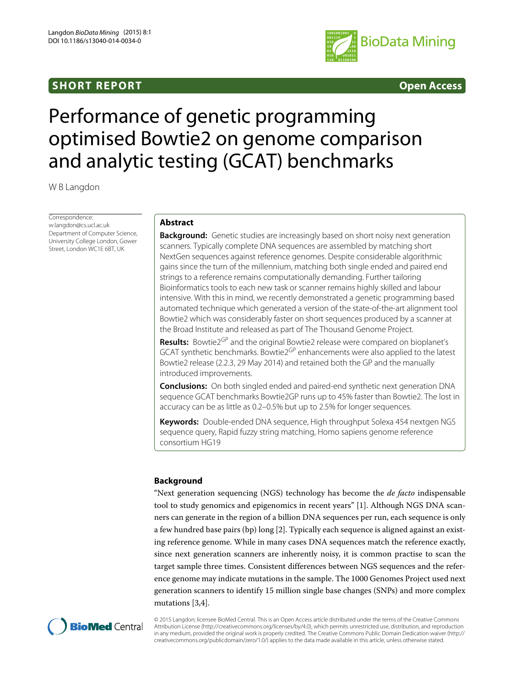# **SHORT REPORT Open Access**



# Performance of genetic programming optimised Bowtie2 on genome comparison and analytic testing (GCAT) benchmarks

W B Langdon

Correspondence: [w.langdon@cs.ucl.ac.uk](mailto:w.langdon@cs.ucl.ac.uk) Department of Computer Science, University College London, Gower Street, London WC1E 6BT, UK

## **Abstract**

**Background:** Genetic studies are increasingly based on short noisy next generation scanners. Typically complete DNA sequences are assembled by matching short NextGen sequences against reference genomes. Despite considerable algorithmic gains since the turn of the millennium, matching both single ended and paired end strings to a reference remains computationally demanding. Further tailoring Bioinformatics tools to each new task or scanner remains highly skilled and labour intensive. With this in mind, we recently demonstrated a genetic programming based automated technique which generated a version of the state-of-the-art alignment tool Bowtie2 which was considerably faster on short sequences produced by a scanner at the Broad Institute and released as part of The Thousand Genome Project.

**Results:** Bowtie2<sup>GP</sup> and the original Bowtie2 release were compared on bioplanet's GCAT synthetic benchmarks. Bowtie2<sup>GP</sup> enhancements were also applied to the latest Bowtie2 release (2.2.3, 29 May 2014) and retained both the GP and the manually introduced improvements.

**Conclusions:** On both singled ended and paired-end synthetic next generation DNA sequence GCAT benchmarks Bowtie2GP runs up to 45% faster than Bowtie2. The lost in accuracy can be as little as 0.2–0.5% but up to 2.5% for longer sequences.

**Keywords:** Double-ended DNA sequence, High throughput Solexa 454 nextgen NGS sequence query, Rapid fuzzy string matching, Homo sapiens genome reference consortium HG19

### **Background**

"Next generation sequencing (NGS) technology has become the *de facto* indispensable tool to study genomics and epigenomics in recent years" [\[1\]](#page-6-0). Although NGS DNA scanners can generate in the region of a billion DNA sequences per run, each sequence is only a few hundred base pairs (bp) long [\[2\]](#page-6-1). Typically each sequence is aligned against an existing reference genome. While in many cases DNA sequences match the reference exactly, since next generation scanners are inherently noisy, it is common practise to scan the target sample three times. Consistent differences between NGS sequences and the reference genome may indicate mutations in the sample. The 1000 Genomes Project used next generation scanners to identify 15 million single base changes (SNPs) and more complex mutations [\[3](#page-6-2)[,4\]](#page-6-3).



© 2015 Langdon; licensee BioMed Central. This is an Open Access article distributed under the terms of the Creative Commons Attribution License [\(http://creativecommons.org/licenses/by/4.0\)](http://creativecommons.org/licenses/by/4.0), which permits unrestricted use, distribution, and reproduction in any medium, provided the original work is properly credited. The Creative Commons Public Domain Dedication waiver [\(http://](http://creativecommons.org/publicdomain/zero/1.0/) [creativecommons.org/publicdomain/zero/1.0/\)](http://creativecommons.org/publicdomain/zero/1.0/) applies to the data made available in this article, unless otherwise stated.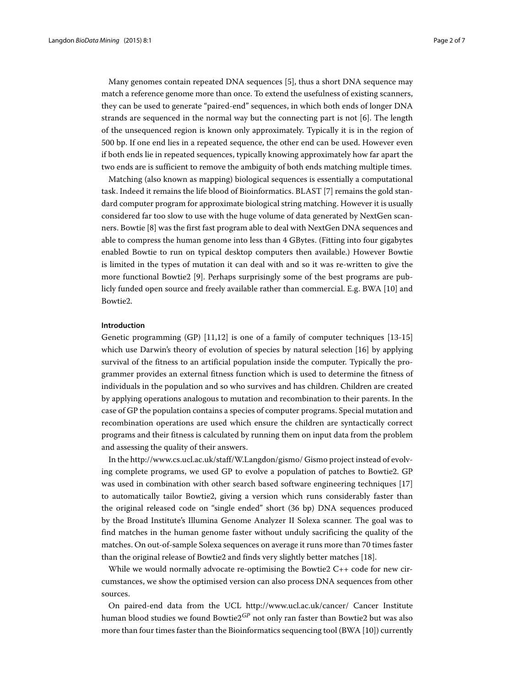Many genomes contain repeated DNA sequences [\[5\]](#page-6-4), thus a short DNA sequence may match a reference genome more than once. To extend the usefulness of existing scanners, they can be used to generate "paired-end" sequences, in which both ends of longer DNA strands are sequenced in the normal way but the connecting part is not [\[6\]](#page-6-5). The length of the unsequenced region is known only approximately. Typically it is in the region of 500 bp. If one end lies in a repeated sequence, the other end can be used. However even if both ends lie in repeated sequences, typically knowing approximately how far apart the two ends are is sufficient to remove the ambiguity of both ends matching multiple times.

Matching (also known as mapping) biological sequences is essentially a computational task. Indeed it remains the life blood of Bioinformatics. BLAST [\[7\]](#page-6-6) remains the gold standard computer program for approximate biological string matching. However it is usually considered far too slow to use with the huge volume of data generated by NextGen scanners. Bowtie [\[8\]](#page-6-7) was the first fast program able to deal with NextGen DNA sequences and able to compress the human genome into less than 4 GBytes. (Fitting into four gigabytes enabled Bowtie to run on typical desktop computers then available.) However Bowtie is limited in the types of mutation it can deal with and so it was re-written to give the more functional Bowtie2 [\[9\]](#page-6-8). Perhaps surprisingly some of the best programs are publicly funded open source and freely available rather than commercial. E.g. BWA [\[10\]](#page-6-9) and Bowtie2.

#### **Introduction**

Genetic programming (GP) [\[11,](#page-6-10)[12\]](#page-6-11) is one of a family of computer techniques [\[13](#page-6-12)[-15\]](#page-6-13) which use Darwin's theory of evolution of species by natural selection [\[16\]](#page-6-14) by applying survival of the fitness to an artificial population inside the computer. Typically the programmer provides an external fitness function which is used to determine the fitness of individuals in the population and so who survives and has children. Children are created by applying operations analogous to mutation and recombination to their parents. In the case of GP the population contains a species of computer programs. Special mutation and recombination operations are used which ensure the children are syntactically correct programs and their fitness is calculated by running them on input data from the problem and assessing the quality of their answers.

In the<http://www.cs.ucl.ac.uk/staff/W.Langdon/gismo/> Gismo project instead of evolving complete programs, we used GP to evolve a population of patches to Bowtie2. GP was used in combination with other search based software engineering techniques [\[17\]](#page-6-15) to automatically tailor Bowtie2, giving a version which runs considerably faster than the original released code on "single ended" short (36 bp) DNA sequences produced by the Broad Institute's Illumina Genome Analyzer II Solexa scanner. The goal was to find matches in the human genome faster without unduly sacrificing the quality of the matches. On out-of-sample Solexa sequences on average it runs more than 70 times faster than the original release of Bowtie2 and finds very slightly better matches [\[18\]](#page-6-16).

While we would normally advocate re-optimising the Bowtie2 C++ code for new circumstances, we show the optimised version can also process DNA sequences from other sources.

On paired-end data from the UCL<http://www.ucl.ac.uk/cancer/> Cancer Institute human blood studies we found Bowtie2*GP* not only ran faster than Bowtie2 but was also more than four times faster than the Bioinformatics sequencing tool (BWA [\[10\]](#page-6-9)) currently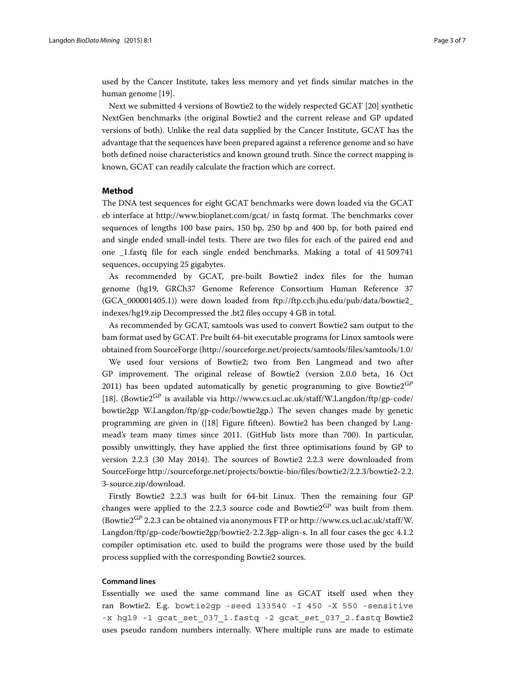used by the Cancer Institute, takes less memory and yet finds similar matches in the human genome [\[19\]](#page-6-17).

Next we submitted 4 versions of Bowtie2 to the widely respected GCAT [\[20\]](#page-6-18) synthetic NextGen benchmarks (the original Bowtie2 and the current release and GP updated versions of both). Unlike the real data supplied by the Cancer Institute, GCAT has the advantage that the sequences have been prepared against a reference genome and so have both defined noise characteristics and known ground truth. Since the correct mapping is known, GCAT can readily calculate the fraction which are correct.

### **Method**

The DNA test sequences for eight GCAT benchmarks were down loaded via the GCAT eb interface at<http://www.bioplanet.com/gcat/> in fastq format. The benchmarks cover sequences of lengths 100 base pairs, 150 bp, 250 bp and 400 bp, for both paired end and single ended small-indel tests. There are two files for each of the paired end and one \_1.fastq file for each single ended benchmarks. Making a total of 41 509 741 sequences, occupying 25 gigabytes.

As recommended by GCAT, pre-built Bowtie2 index files for the human genome (hg19, GRCh37 Genome Reference Consortium Human Reference 37 (GCA\_000001405.1)) were down loaded from [ftp://ftp.ccb.jhu.edu/pub/data/bowtie2\\_](ftp://ftp.ccb.jhu.edu/pub/data/bowtie2_indexes/hg19.zip) [indexes/hg19.zip](ftp://ftp.ccb.jhu.edu/pub/data/bowtie2_indexes/hg19.zip) Decompressed the .bt2 files occupy 4 GB in total.

As recommended by GCAT, samtools was used to convert Bowtie2 sam output to the bam format used by GCAT. Pre built 64-bit executable programs for Linux samtools were obtained from SourceForge [\(http://sourceforge.net/projects/samtools/files/samtools/1.0/](http://sourceforge.net/projects/samtools/files/samtools/1.0/)

We used four versions of Bowtie2; two from Ben Langmead and two after GP improvement. The original release of Bowtie2 (version 2.0.0 beta, 16 Oct 2011) has been updated automatically by genetic programming to give Bowtie2*GP* [\[18\]](#page-6-16). (Bowtie2<sup>*GP*</sup> is available via [http://www.cs.ucl.ac.uk/staff/W.Langdon/ftp/gp-code/](http://www.cs.ucl.ac.uk/staff/W.Langdon/ftp/gp-code/bowtie2gp) [bowtie2gp](http://www.cs.ucl.ac.uk/staff/W.Langdon/ftp/gp-code/bowtie2gp) W.Langdon/ftp/gp-code/bowtie2gp.) The seven changes made by genetic programming are given in ([\[18\]](#page-6-16) Figure fifteen). Bowtie2 has been changed by Langmead's team many times since 2011. (GitHub lists more than 700). In particular, possibly unwittingly, they have applied the first three optimisations found by GP to version 2.2.3 (30 May 2014). The sources of Bowtie2 2.2.3 were downloaded from SourceForge [http://sourceforge.net/projects/bowtie-bio/files/bowtie2/2.2.3/bowtie2-2.2.](http://sourceforge.net/projects/bowtie-bio/files/bowtie2/2.2.3/bowtie2-2.2.3-source.zip/download) [3-source.zip/download.](http://sourceforge.net/projects/bowtie-bio/files/bowtie2/2.2.3/bowtie2-2.2.3-source.zip/download)

Firstly Bowtie2 2.2.3 was built for 64-bit Linux. Then the remaining four GP changes were applied to the 2.2.3 source code and Bowtie2*GP* was built from them. (Bowtie2*GP* 2.2.3 can be obtained via anonymous FTP or [http://www.cs.ucl.ac.uk/staff/W.](http://www.cs.ucl.ac.uk/staff/W.Langdon/ftp/gp-code/bowtie2gp/bowtie2-2.2.3gp-align-s) [Langdon/ftp/gp-code/bowtie2gp/bowtie2-2.2.3gp-align-s.](http://www.cs.ucl.ac.uk/staff/W.Langdon/ftp/gp-code/bowtie2gp/bowtie2-2.2.3gp-align-s) In all four cases the gcc 4.1.2 compiler optimisation etc. used to build the programs were those used by the build process supplied with the corresponding Bowtie2 sources.

#### **Command lines**

Essentially we used the same command line as GCAT itself used when they ran Bowtie2. E.g. bowtie2gp -seed 133540 -I 450 -X 550 -sensitive -x hg19 -1 gcat\_set\_037\_1.fastq -2 gcat\_set\_037\_2.fastq Bowtie2 uses pseudo random numbers internally. Where multiple runs are made to estimate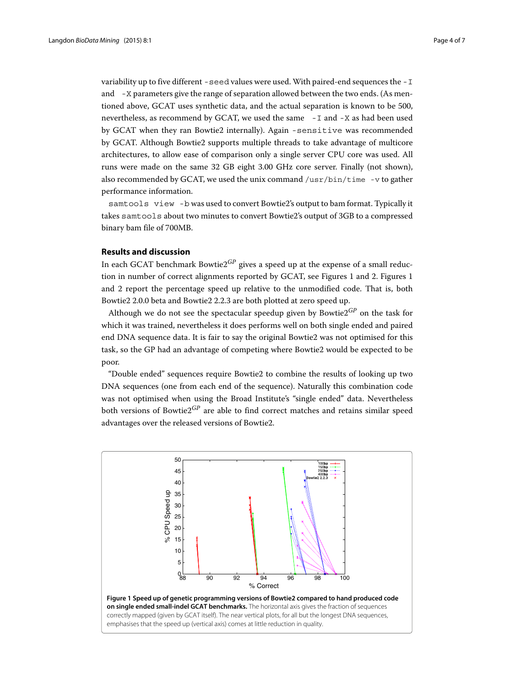variability up to five different -seed values were used. With paired-end sequences the -I and -X parameters give the range of separation allowed between the two ends. (As mentioned above, GCAT uses synthetic data, and the actual separation is known to be 500, nevertheless, as recommend by GCAT, we used the same -I and -X as had been used by GCAT when they ran Bowtie2 internally). Again -sensitive was recommended by GCAT. Although Bowtie2 supports multiple threads to take advantage of multicore architectures, to allow ease of comparison only a single server CPU core was used. All runs were made on the same 32 GB eight 3.00 GHz core server. Finally (not shown), also recommended by GCAT, we used the unix command /usr/bin/time -v to gather performance information.

samtools view -b was used to convert Bowtie2's output to bam format. Typically it takes samtools about two minutes to convert Bowtie2's output of 3GB to a compressed binary bam file of 700MB.

#### **Results and discussion**

In each GCAT benchmark Bowtie2*GP* gives a speed up at the expense of a small reduction in number of correct alignments reported by GCAT, see Figures [1](#page-3-0) and [2.](#page-4-0) Figures [1](#page-3-0) and [2](#page-4-0) report the percentage speed up relative to the unmodified code. That is, both Bowtie2 2.0.0 beta and Bowtie2 2.2.3 are both plotted at zero speed up.

Although we do not see the spectacular speedup given by Bowtie2*GP* on the task for which it was trained, nevertheless it does performs well on both single ended and paired end DNA sequence data. It is fair to say the original Bowtie2 was not optimised for this task, so the GP had an advantage of competing where Bowtie2 would be expected to be poor.

"Double ended" sequences require Bowtie2 to combine the results of looking up two DNA sequences (one from each end of the sequence). Naturally this combination code was not optimised when using the Broad Institute's "single ended" data. Nevertheless both versions of Bowtie2*GP* are able to find correct matches and retains similar speed advantages over the released versions of Bowtie2.

<span id="page-3-0"></span>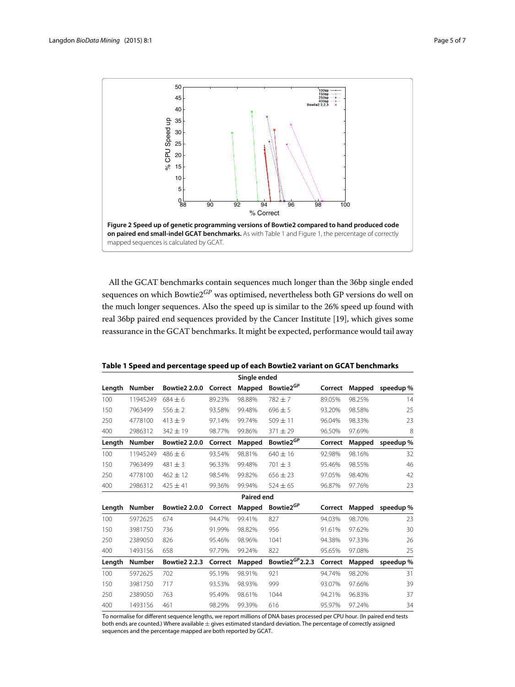

<span id="page-4-0"></span>All the GCAT benchmarks contain sequences much longer than the 36bp single ended sequences on which Bowtie2*GP* was optimised, nevertheless both GP versions do well on the much longer sequences. Also the speed up is similar to the 26% speed up found with real 36bp paired end sequences provided by the Cancer Institute [\[19\]](#page-6-17), which gives some reassurance in the GCAT benchmarks. It might be expected, performance would tail away

#### <span id="page-4-1"></span>**Table 1 Speed and percentage speed up of each Bowtie2 variant on GCAT benchmarks**

| Single ended |               |                      |         |                   |                       |         |        |           |
|--------------|---------------|----------------------|---------|-------------------|-----------------------|---------|--------|-----------|
| Length       | <b>Number</b> | <b>Bowtie2 2.0.0</b> | Correct | Mapped            | Bowtie2 <sup>GP</sup> | Correct | Mapped | speedup % |
| 100          | 11945249      | $684 + 6$            | 89.23%  | 98.88%            | $782 + 7$             | 89.05%  | 98.25% | 14        |
| 150          | 7963499       | $556 \pm 2$          | 93.58%  | 99.48%            | $696 \pm 5$           | 93.20%  | 98.58% | 25        |
| 250          | 4778100       | $413 + 9$            | 97.14%  | 99.74%            | $509 + 11$            | 96.04%  | 98.33% | 23        |
| 400          | 2986312       | $342 \pm 19$         | 98.77%  | 99.86%            | $371 \pm 29$          | 96.50%  | 97.69% | 8         |
| Length       | <b>Number</b> | <b>Bowtie2 2.0.0</b> | Correct | Mapped            | Bowtie2 <sup>GP</sup> | Correct | Mapped | speedup%  |
| 100          | 11945249      | $486 \pm 6$          | 93.54%  | 98.81%            | $640 \pm 16$          | 92.98%  | 98.16% | 32        |
| 150          | 7963499       | $481 \pm 3$          | 96.33%  | 99.48%            | $701 + 3$             | 95.46%  | 98.55% | 46        |
| 250          | 4778100       | $462 + 12$           | 98.54%  | 99.82%            | $656 + 23$            | 97.05%  | 98.40% | 42        |
| 400          | 2986312       | $425 \pm 41$         | 99.36%  | 99.94%            | $524 \pm 65$          | 96.87%  | 97.76% | 23        |
|              |               |                      |         | <b>Paired end</b> |                       |         |        |           |
| Length       | <b>Number</b> | <b>Bowtie2 2.0.0</b> | Correct | Mapped            | Bowtie2 <sup>GP</sup> | Correct | Mapped | speedup % |
| 100          | 5972625       | 674                  | 94.47%  | 99.41%            | 827                   | 94.03%  | 98.70% | 23        |
| 150          | 3981750       | 736                  | 91.99%  | 98.82%            | 956                   | 91.61%  | 97.62% | 30        |
| 250          | 2389050       | 826                  | 95.46%  | 98.96%            | 1041                  | 94.38%  | 97.33% | 26        |
| 400          | 1493156       | 658                  | 97.79%  | 99.24%            | 822                   | 95.65%  | 97.08% | 25        |
| Length       | <b>Number</b> | <b>Bowtie2 2.2.3</b> | Correct | Mapped            | Bowtie $2^{GP}$ 2.2.3 | Correct | Mapped | speedup%  |
| 100          | 5972625       | 702                  | 95.19%  | 98.91%            | 921                   | 94.74%  | 98.20% | 31        |
| 150          | 3981750       | 717                  | 93.53%  | 98.93%            | 999                   | 93.07%  | 97.66% | 39        |
| 250          | 2389050       | 763                  | 95.49%  | 98.61%            | 1044                  | 94.21%  | 96.83% | 37        |
|              |               |                      |         |                   |                       |         |        |           |

To normalise for different sequence lengths, we report millions of DNA bases processed per CPU hour. (In paired end tests both ends are counted.) Where available  $\pm$  gives estimated standard deviation. The percentage of correctly assigned sequences and the percentage mapped are both reported by GCAT.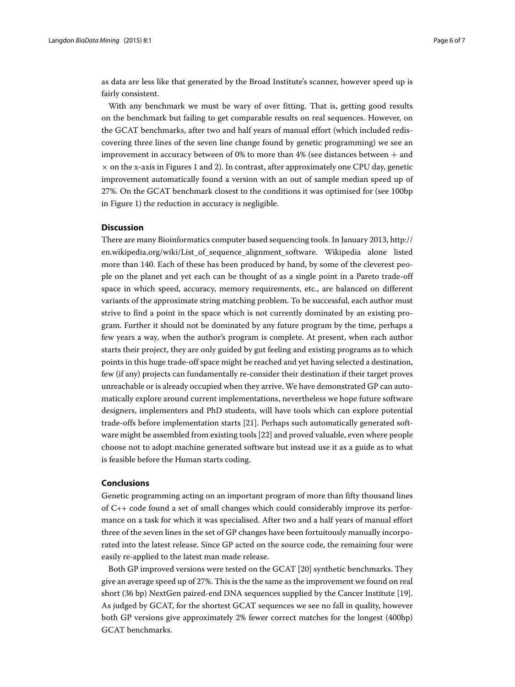as data are less like that generated by the Broad Institute's scanner, however speed up is fairly consistent.

With any benchmark we must be wary of over fitting. That is, getting good results on the benchmark but failing to get comparable results on real sequences. However, on the GCAT benchmarks, after two and half years of manual effort (which included rediscovering three lines of the seven line change found by genetic programming) we see an improvement in accuracy between of 0% to more than 4% (see distances between  $+$  and  $\times$  on the x-axis in Figures [1](#page-3-0) and [2\)](#page-4-0). In contrast, after approximately one CPU day, genetic improvement automatically found a version with an out of sample median speed up of 27%. On the GCAT benchmark closest to the conditions it was optimised for (see 100bp in Figure [1\)](#page-3-0) the reduction in accuracy is negligible.

#### **Discussion**

There are many Bioinformatics computer based sequencing tools. In January 2013, [http://](http://en.wikipedia.org/wiki/List_of_sequence_alignment_software) [en.wikipedia.org/wiki/List\\_of\\_sequence\\_alignment\\_software.](http://en.wikipedia.org/wiki/List_of_sequence_alignment_software) Wikipedia alone listed more than 140. Each of these has been produced by hand, by some of the cleverest people on the planet and yet each can be thought of as a single point in a Pareto trade-off space in which speed, accuracy, memory requirements, etc., are balanced on different variants of the approximate string matching problem. To be successful, each author must strive to find a point in the space which is not currently dominated by an existing program. Further it should not be dominated by any future program by the time, perhaps a few years a way, when the author's program is complete. At present, when each author starts their project, they are only guided by gut feeling and existing programs as to which points in this huge trade-off space might be reached and yet having selected a destination, few (if any) projects can fundamentally re-consider their destination if their target proves unreachable or is already occupied when they arrive. We have demonstrated GP can automatically explore around current implementations, nevertheless we hope future software designers, implementers and PhD students, will have tools which can explore potential trade-offs before implementation starts [\[21\]](#page-6-19). Perhaps such automatically generated software might be assembled from existing tools [\[22\]](#page-6-20) and proved valuable, even where people choose not to adopt machine generated software but instead use it as a guide as to what is feasible before the Human starts coding.

#### **Conclusions**

Genetic programming acting on an important program of more than fifty thousand lines of C++ code found a set of small changes which could considerably improve its performance on a task for which it was specialised. After two and a half years of manual effort three of the seven lines in the set of GP changes have been fortuitously manually incorporated into the latest release. Since GP acted on the source code, the remaining four were easily re-applied to the latest man made release.

Both GP improved versions were tested on the GCAT [\[20\]](#page-6-18) synthetic benchmarks. They give an average speed up of 27%. This is the the same as the improvement we found on real short (36 bp) NextGen paired-end DNA sequences supplied by the Cancer Institute [\[19\]](#page-6-17). As judged by GCAT, for the shortest GCAT sequences we see no fall in quality, however both GP versions give approximately 2% fewer correct matches for the longest (400bp) GCAT benchmarks.